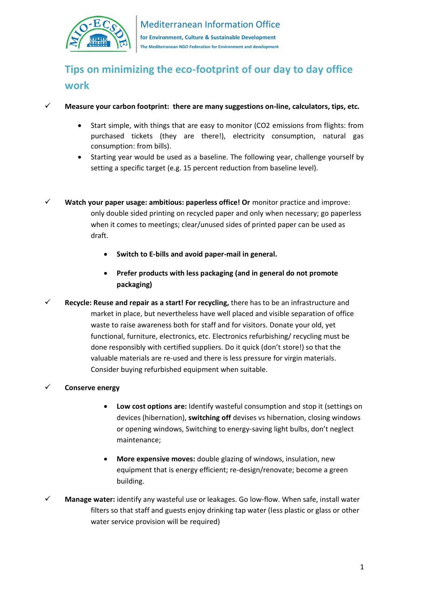

# **Tips on minimizing the eco-footprint of our day to day office work**

- ✓ **Measure your carbon footprint: there are many suggestions on-line, calculators, tips, etc.**
	- Start simple, with things that are easy to monitor (CO2 emissions from flights: from purchased tickets (they are there!), electricity consumption, natural gas consumption: from bills).
	- Starting year would be used as a baseline. The following year, challenge yourself by setting a specific target (e.g. 15 percent reduction from baseline level).
- ✓ **Watch your paper usage: ambitious: paperless office! Or** monitor practice and improve: only double sided printing on recycled paper and only when necessary; go paperless when it comes to meetings; clear/unused sides of printed paper can be used as draft.
	- **Switch to E-bills and avoid paper-mail in general.**
	- **Prefer products with less packaging (and in general do not promote packaging)**
- ✓ **Recycle: Reuse and repair as a start! For recycling,** there has to be an infrastructure and market in place, but nevertheless have well placed and visible separation of office waste to raise awareness both for staff and for visitors. Donate your old, yet functional, furniture, electronics, etc. Electronics refurbishing/ recycling must be done responsibly with certified suppliers. Do it quick (don't store!) so that the valuable materials are re-used and there is less pressure for virgin materials. Consider buying refurbished equipment when suitable.

### ✓ **Conserve energy**

- **Low cost options are:** Identify wasteful consumption and stop it (settings on devices (hibernation), **switching off** devises vs hibernation, closing windows or opening windows, Switching to energy-saving light bulbs, don't neglect maintenance;
- **More expensive moves:** double glazing of windows, insulation, new equipment that is energy efficient; re-design/renovate; become a green building.
- ✓ **Manage water:** identify any wasteful use or leakages. Go low-flow. When safe, install water filters so that staff and guests enjoy drinking tap water (less plastic or glass or other water service provision will be required)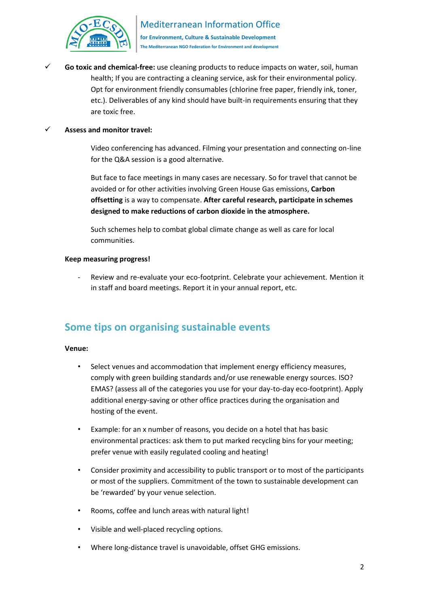

**The Mediterranean NGO Federation for Environment and development**

Go toxic and chemical-free: use cleaning products to reduce impacts on water, soil, human health; If you are contracting a cleaning service, ask for their environmental policy. Opt for environment friendly consumables (chlorine free paper, friendly ink, toner, etc.). Deliverables of any kind should have built-in requirements ensuring that they are toxic free.

### Assess and monitor travel:

Video conferencing has advanced. Filming your presentation and connecting on-line for the Q&A session is a good alternative.

But face to face meetings in many cases are necessary. So for travel that cannot be avoided or for other activities involving Green House Gas emissions, **Carbon offsetting** is a way to compensate. **After careful research, participate in schemes designed to make reductions of carbon dioxide in the atmosphere.**

Such schemes help to combat global climate change as well as care for local communities.

### **Keep measuring progress!**

Review and re-evaluate your eco-footprint. Celebrate your achievement. Mention it in staff and board meetings. Report it in your annual report, etc.

## **Some tips on organising sustainable events**

### **Venue:**

- Select venues and accommodation that implement energy efficiency measures, comply with green building standards and/or use renewable energy sources. ISO? EMAS? (assess all of the categories you use for your day-to-day eco-footprint). Apply additional energy-saving or other office practices during the organisation and hosting of the event.
- Example: for an x number of reasons, you decide on a hotel that has basic environmental practices: ask them to put marked recycling bins for your meeting; prefer venue with easily regulated cooling and heating!
- Consider proximity and accessibility to public transport or to most of the participants or most of the suppliers. Commitment of the town to sustainable development can be 'rewarded' by your venue selection.
- Rooms, coffee and lunch areas with natural light!
- Visible and well-placed recycling options.
- Where long-distance travel is unavoidable, offset GHG emissions.